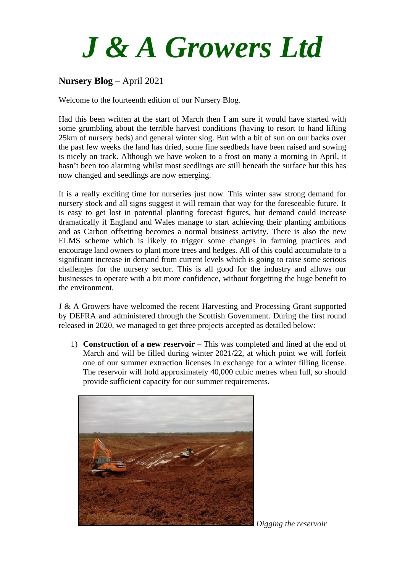## *J & A Growers Ltd*

## **Nursery Blog** – April 2021

Welcome to the fourteenth edition of our Nursery Blog.

Had this been written at the start of March then I am sure it would have started with some grumbling about the terrible harvest conditions (having to resort to hand lifting 25km of nursery beds) and general winter slog. But with a bit of sun on our backs over the past few weeks the land has dried, some fine seedbeds have been raised and sowing is nicely on track. Although we have woken to a frost on many a morning in April, it hasn't been too alarming whilst most seedlings are still beneath the surface but this has now changed and seedlings are now emerging.

It is a really exciting time for nurseries just now. This winter saw strong demand for nursery stock and all signs suggest it will remain that way for the foreseeable future. It is easy to get lost in potential planting forecast figures, but demand could increase dramatically if England and Wales manage to start achieving their planting ambitions and as Carbon offsetting becomes a normal business activity. There is also the new ELMS scheme which is likely to trigger some changes in farming practices and encourage land owners to plant more trees and hedges. All of this could accumulate to a significant increase in demand from current levels which is going to raise some serious challenges for the nursery sector. This is all good for the industry and allows our businesses to operate with a bit more confidence, without forgetting the huge benefit to the environment.

J & A Growers have welcomed the recent Harvesting and Processing Grant supported by DEFRA and administered through the Scottish Government. During the first round released in 2020, we managed to get three projects accepted as detailed below:

1) **Construction of a new reservoir** – This was completed and lined at the end of March and will be filled during winter 2021/22, at which point we will forfeit one of our summer extraction licenses in exchange for a winter filling license. The reservoir will hold approximately 40,000 cubic metres when full, so should provide sufficient capacity for our summer requirements.



*Digging the reservoir*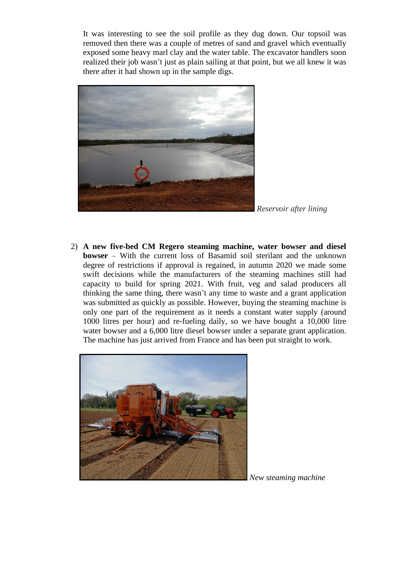It was interesting to see the soil profile as they dug down. Our topsoil was removed then there was a couple of metres of sand and gravel which eventually exposed some heavy marl clay and the water table. The excavator handlers soon realized their job wasn't just as plain sailing at that point, but we all knew it was there after it had shown up in the sample digs.



*Reservoir after lining*

2) **A new five-bed CM Regero steaming machine, water bowser and diesel bowser** – With the current loss of Basamid soil sterilant and the unknown degree of restrictions if approval is regained, in autumn 2020 we made some swift decisions while the manufacturers of the steaming machines still had capacity to build for spring 2021. With fruit, veg and salad producers all thinking the same thing, there wasn't any time to waste and a grant application was submitted as quickly as possible. However, buying the steaming machine is only one part of the requirement as it needs a constant water supply (around 1000 litres per hour) and re-fueling daily, so we have bought a 10,000 litre water bowser and a 6,000 litre diesel bowser under a separate grant application. The machine has just arrived from France and has been put straight to work.



*New steaming machine*